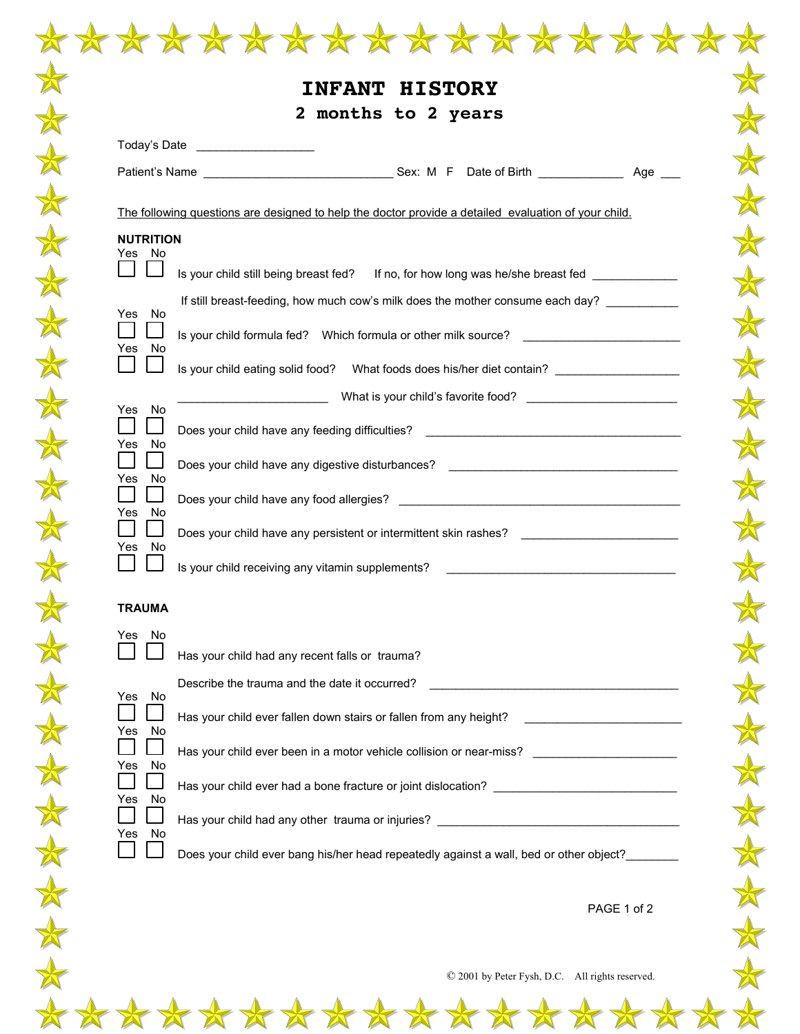|  |                            | ***************                                                                                      |
|--|----------------------------|------------------------------------------------------------------------------------------------------|
|  |                            | <b>HISTORY</b><br><b>INFANT</b>                                                                      |
|  |                            | 2 months to 2 years                                                                                  |
|  |                            | Today's Date ____________________                                                                    |
|  |                            |                                                                                                      |
|  |                            | The following questions are designed to help the doctor provide a detailed evaluation of your child. |
|  | <b>NUTRITION</b><br>Yes No |                                                                                                      |
|  |                            | Is your child still being breast fed? If no, for how long was he/she breast fed ___________          |
|  | Yes No                     | If still breast-feeding, how much cow's milk does the mother consume each day? _________             |
|  | Yes No                     | Is your child formula fed? Which formula or other milk source?                                       |
|  |                            | Is your child eating solid food? What foods does his/her diet contain? ________________              |
|  | Yes No                     |                                                                                                      |
|  | No<br>Yes                  | Does your child have any feeding difficulties? _________________________________                     |
|  | Yes No                     | Does your child have any digestive disturbances? _______________________________                     |
|  | Yes No                     |                                                                                                      |
|  |                            | Does your child have any persistent or intermittent skin rashes?                                     |
|  | No<br>Yes                  | Is your child receiving any vitamin supplements?                                                     |
|  | <b>TRAUMA</b>              |                                                                                                      |
|  | Yes No                     |                                                                                                      |
|  |                            | Has your child had any recent falls or trauma?<br>Describe the trauma and the date it occurred?      |
|  | Yes<br>No                  |                                                                                                      |
|  | No<br>Yes                  | Has your child ever fallen down stairs or fallen from any height?                                    |
|  | No<br>Yes                  | Has your child ever been in a motor vehicle collision or near-miss? _____________                    |
|  | No<br>Yes                  | Has your child ever had a bone fracture or joint dislocation? __________________                     |
|  | No<br>Yes                  | Has your child had any other trauma or injuries? _______________________________                     |
|  |                            | Does your child ever bang his/her head repeatedly against a wall, bed or other object?               |
|  |                            | PAGE 1 of 2                                                                                          |
|  |                            |                                                                                                      |
|  |                            | © 2001 by Peter Fysh, D.C. All rights reserved.                                                      |
|  |                            | $\frac{1}{2}$                                                                                        |